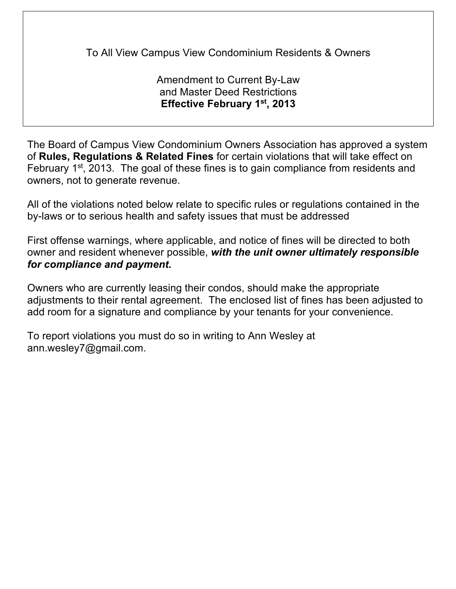To All View Campus View Condominium Residents & Owners

Amendment to Current By-Law and Master Deed Restrictions **Effective February 1st, 2013**

The Board of Campus View Condominium Owners Association has approved a system of **Rules, Regulations & Related Fines** for certain violations that will take effect on February 1<sup>st</sup>, 2013. The goal of these fines is to gain compliance from residents and owners, not to generate revenue.

All of the violations noted below relate to specific rules or regulations contained in the by-laws or to serious health and safety issues that must be addressed

First offense warnings, where applicable, and notice of fines will be directed to both owner and resident whenever possible, *with the unit owner ultimately responsible for compliance and payment.*

Owners who are currently leasing their condos, should make the appropriate adjustments to their rental agreement. The enclosed list of fines has been adjusted to add room for a signature and compliance by your tenants for your convenience.

To report violations you must do so in writing to Ann Wesley at ann.wesley7@gmail.com.